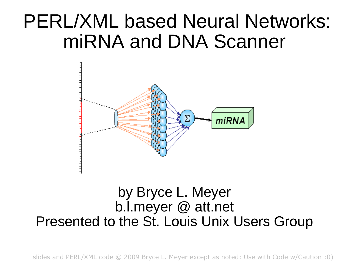#### PERL/XML based Neural Networks: miRNA and DNA Scanner



#### by Bryce L. Meyer b.l.meyer @ att.net Presented to the St. Louis Unix Users Group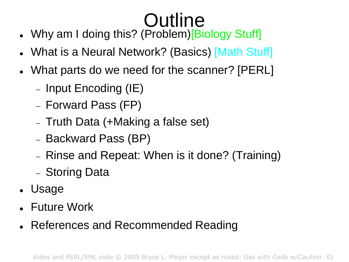# **Outline**

- . Why am I doing this? (Problem) [Biology Stuff]
- What is a Neural Network? (Basics) [Math Stuff]
- What parts do we need for the scanner? [PERL]
	- $-$  Input Encoding (IE)
	- Forward Pass (FP)
	- Truth Data (+Making a false set)
	- Backward Pass (BP)
	- Rinse and Repeat: When is it done? (Training)
	- Storing Data
- Usage
- Future Work
- References and Recommended Reading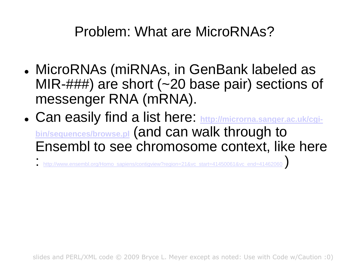#### Problem: What are MicroRNAs?

- MicroRNAs (miRNAs, in GenBank labeled as MIR-###) are short (~20 base pair) sections of messenger RNA (mRNA).
- Can easily find a list here: **[http://microrna.sanger.ac.uk/cgi](http://microrna.sanger.ac.uk/cgi-bin/sequences/browse.pl)[bin/sequences/browse.pl](http://microrna.sanger.ac.uk/cgi-bin/sequences/browse.pl)** (and can walk through to Ensembl to see chromosome context, like here
	- : [http://www.ensembl.org/Homo\\_sapiens/contigview?region=21&vc\\_start=41450061&vc\\_end=41462060](http://www.ensembl.org/Homo_sapiens/contigview?region=21&vc_start=41450061&vc_end=41462060) )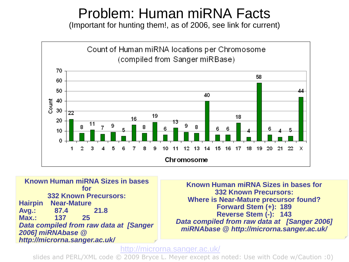#### Problem: Human miRNA Facts

(Important for hunting them!, as of 2006, see link for current)



**Known Human miRNA Sizes in bases for 332 Known Precursors: Hairpin Near-Mature Avg.: 87.4 21.8 Max.: 137 25** *Data compiled from raw data at [Sanger 2006] miRNAbase @ http://microrna.sanger.ac.uk/* 

**Known Human miRNA Sizes in bases for 332 Known Precursors: Where is Near-Mature precursor found? Forward Stem (+): 189 Reverse Stem (-): 143** *Data compiled from raw data at [Sanger 2006] miRNAbase @ http://microrna.sanger.ac.uk/*

#### <http://microrna.sanger.ac.uk/>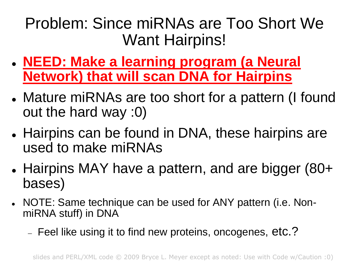#### Problem: Since miRNAs are Too Short We Want Hairpins!

- **NEED: Make a learning program (a Neural Network) that will scan DNA for Hairpins**
- Mature miRNAs are too short for a pattern (I found out the hard way :0)
- Hairpins can be found in DNA, these hairpins are used to make miRNAs
- Hairpins MAY have a pattern, and are bigger (80+ bases)
- NOTE: Same technique can be used for ANY pattern (i.e. NonmiRNA stuff) in DNA
	- Feel like using it to find new proteins, oncogenes, etc.?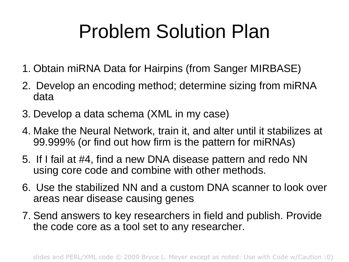## Problem Solution Plan

- 1. Obtain miRNA Data for Hairpins (from Sanger MIRBASE)
- 2. Develop an encoding method; determine sizing from miRNA data
- 3. Develop a data schema (XML in my case)
- 4. Make the Neural Network, train it, and alter until it stabilizes at 99.999% (or find out how firm is the pattern for miRNAs)
- 5. If I fail at #4, find a new DNA disease pattern and redo NN using core code and combine with other methods.
- 6. Use the stabilized NN and a custom DNA scanner to look over areas near disease causing genes
- 7. Send answers to key researchers in field and publish. Provide the code core as a tool set to any researcher.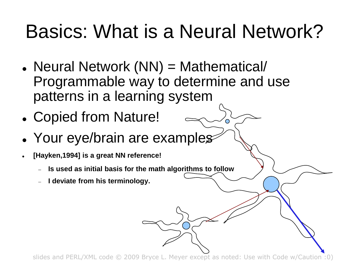## Basics: What is a Neural Network?

- Neural Network (NN) = Mathematical/ Programmable way to determine and use patterns in a learning system
- Copied from Nature!
- Your eye/brain are examples
- **[Hayken,1994] is a great NN reference!**
	- **Is used as initial basis for the math algorithms to follow**
	- **I deviate from his terminology.**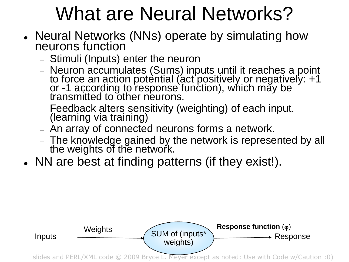## What are Neural Networks?

- Neural Networks (NNs) operate by simulating how neurons function
	- Stimuli (Inputs) enter the neuron
	- Neuron accumulates (Sums) inputs until it reaches a point to force an action potèntial (act positively or negatively: +1 or -1 according to response function), which may be transmitted to other neurons.
	- Feedback alters sensitivity (weighting) of each input. (learning via training)
	- An array of connected neurons forms a network.
	- The knowledge gained by the network is represented by all the weights of the network.
- NN are best at finding patterns (if they exist!).

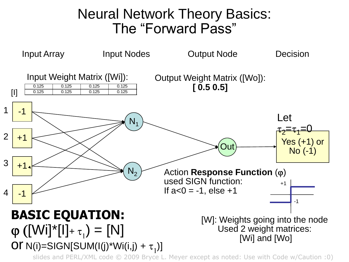#### Neural Network Theory Basics: The "Forward Pass"

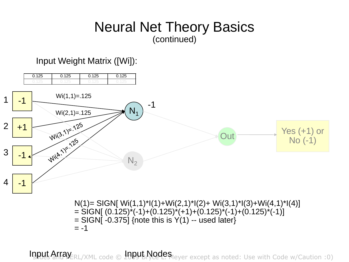#### Neural Net Theory Basics (continued)

#### Input Weight Matrix ([Wi]):



Input Array ERL/XML code © 10PUL Nodes Meyer except as noted: Use with Code w/Caution :0)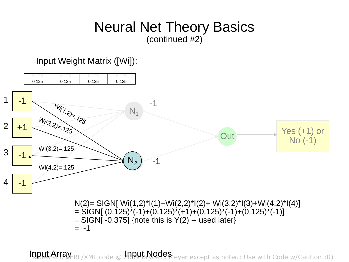#### Neural Net Theory Basics (continued #2)

#### Input Weight Matrix ([Wi]):



Input Array ERL/XML code © 10PUL Nodes Meyer except as noted: Use with Code w/Caution :0)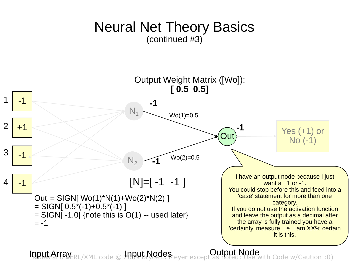#### Neural Net Theory Basics (continued #3)



Input Array ERL/XML code © 1009 BRodes except as noted: Use with Code w/Caution :0) **Cutput Node**<br>except as noted: Use with Code w/Caution :0)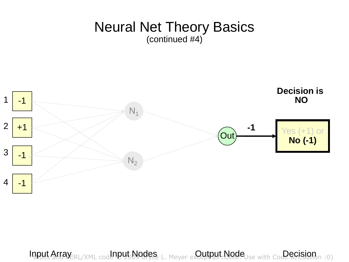#### Neural Net Theory Basics (continued #4)



Input Array ERL/XML code Dub Nodes L. Meyer except put Node Use with Code & Grandin :0)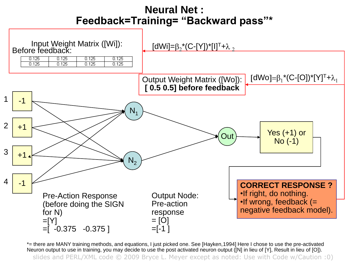#### **Neural Net : Feedback=Training= "Backward pass"\***



\*= there are MANY training methods, and equations, I just picked one. See [Hayken,1994] Here I chose to use the pre-activated Neuron output to use in training, you may decide to use the post activated neuron output ([N] in lieu of [Y], Result in lieu of [O]).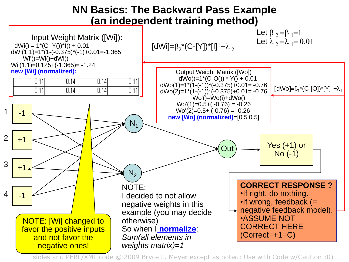#### **NN Basics: The Backward Pass Example (an independent training method)**

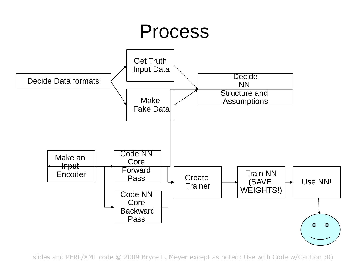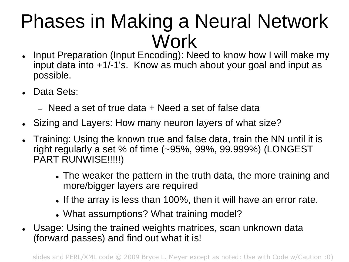#### Phases in Making a Neural Network Work

- Input Preparation (Input Encoding): Need to know how I will make my input data into +1/-1's. Know as much about your goal and input as possible.
- Data Sets:
	- $-$  Need a set of true data  $+$  Need a set of false data
- Sizing and Layers: How many neuron layers of what size?
- Training: Using the known true and false data, train the NN until it is right regularly a set % of time (~95%, 99%, 99.999%) (LONGEST PART RUNWISE!!!!!)
	- The weaker the pattern in the truth data, the more training and more/bigger layers are required
	- If the array is less than 100%, then it will have an error rate.
	- What assumptions? What training model?
- Usage: Using the trained weights matrices, scan unknown data (forward passes) and find out what it is!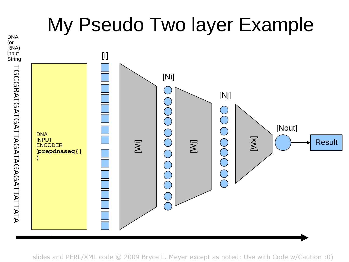#### My Pseudo Two layer Example

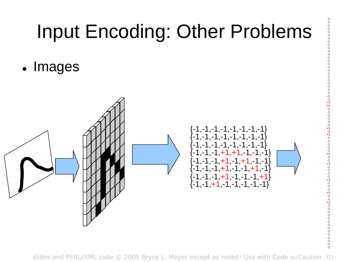## Input Encoding: Other Problems

-1 -1 -1 -1 -1 -1 -1 -1 -1 -1 -1 -1 -1 -1 -1 -1 -1 -1 -1 -1 -1 -1 -1 -1 -1 -1 **+1 +1** -1 -1 -1 -1 -1 -1 **+1** -1 **+1** -1 -1 -1 -1 -1 **+1** -1 -1 **+1** -1 -1 -1 -1 **+1** -1 -1 -1 **+1** -1 -1 **+1** -1 -1 -1 -1 -1 -1 -1 -1 -1 -1 -1 -1 -1 -1

• Images

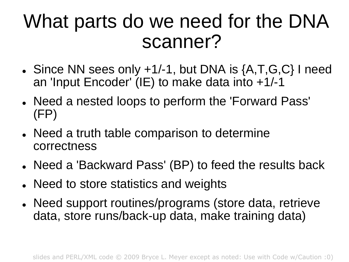#### What parts do we need for the DNA scanner?

- Since NN sees only +1/-1, but DNA is {A,T,G,C} I need an 'Input Encoder' (IE) to make data into +1/-1
- Need a nested loops to perform the 'Forward Pass' (FP)
- Need a truth table comparison to determine correctness
- Need a 'Backward Pass' (BP) to feed the results back
- Need to store statistics and weights
- Need support routines/programs (store data, retrieve data, store runs/back-up data, make training data)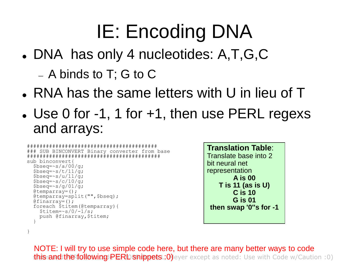# IE: Encoding DNA

- DNA has only 4 nucleotides: A,T,G,C
	- A binds to T; G to C
- RNA has the same letters with U in lieu of T
- Use 0 for -1, 1 for +1, then use PERL regexs and arrays:

```
#########################################
### SUB BINCONVERT Binary converter from base
##########################################
sub binconvert{
  $bseq=\simeq s/a/00/q;$bseq=\simeq s/t/11/q;$bseq=\simeq s/u/11/q;$bseq=\simeq s/c/10/a;$bseq=\simeq s/q/01/q;\thetatemparray=();
  @temparray=split("",$bseq);
  \thetafinarray=();
  foreach $titem(@temparray){
    $titem=\s/0/-1/s;push @finarray,$titem;
  }
```
}

```
Translation Table:
Translate base into 2 
bit neural net 
representation
        A is 00
   T is 11 (as is U)
        C is 10
        G is 01
then swap '0''s for -1
```
this and the following PERL snippets : 0) eyer except as noted: Use with Code w/Caution : 0) NOTE: I will try to use simple code here, but there are many better ways to code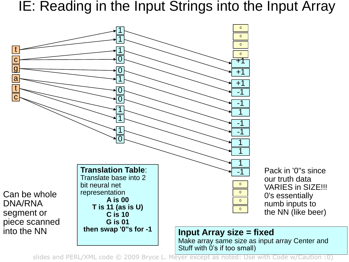IE: Reading in the Input Strings into the Input Array

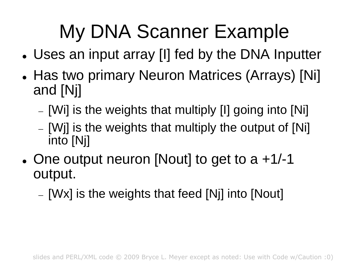# My DNA Scanner Example

- Uses an input array [I] fed by the DNA Inputter
- Has two primary Neuron Matrices (Arrays) [Ni] and [Nj]
	- [Wi] is the weights that multiply [I] going into [Ni]
	- $-$  [Wi] is the weights that multiply the output of [Ni] into [Nj]
- One output neuron [Nout] to get to  $a + 1/ 1$ output.
	- $-$  [Wx] is the weights that feed [Nj] into [Nout]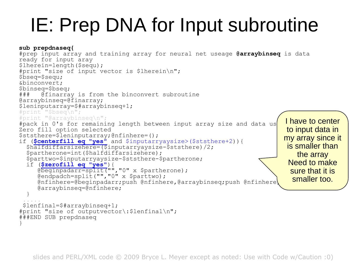## IE: Prep DNA for Input subroutine

```
sub prepdnaseq{
#prep input array and training array for neural net useage @arraybinseq is data 
ready for input aray
$lherein=length($sequ);
#print "size of input vector is $lherein\n";
$bseq=$sequ;
&binconvert;
$binseq=$bseq;
### @finarray is from the binconvert subroutine
@arraybinseq=@finarray;
$leninputarray=$#arraybinseq+1;
#print "$bseq\n";
#print "@arraybinseq\n";
#pack in 0's for remaining length between input array size and data us
Zero fill option selected
$ststhere=$leninputarray;@nfinhere=();
if ($centerfill eq "yes" and $inputarryaysize>($ststhere+2)){
  $halfdiffarsizehere=($inputarryaysize-$ststhere)/2;
  $partherone=int($halfdiffarsizehere);
  $parttwo=$inputarryaysize-$ststhere-$partherone;
  if ($zerofill eq "yes"){
     (WestChart Cy (Constant);<br>@beginpadarr=split("","0" x $partherone);
     @endpadch=split("","0" x $parttwo);
     [0] @nfinhere=@beginpadarr;push @nfinhere,@arraybinseq;push @nfinhere
     @arraybinseq=@nfinhere;
  }
 .....
 $lenfinal=$#arraybinseq+1;
#print "size of outputvector\:$lenfinal\n";
###END SUB prepdnaseq
}
                                                                             I have to center 
                                                                             to input data in 
                                                                            my array since it 
                                                                             is smaller than 
                                                                                the array
                                                                             Need to make 
                                                                              sure that it is 
                                                                               smaller too.
```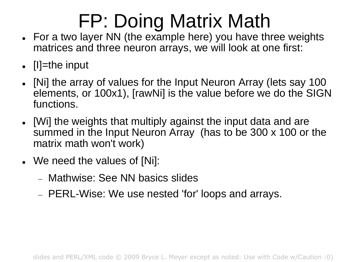# FP: Doing Matrix Math

- For a two layer NN (the example here) you have three weights matrices and three neuron arrays, we will look at one first:
- $\bullet$   $[|]$ =the input
- [Ni] the array of values for the Input Neuron Array (lets say 100 elements, or 100x1), [rawNi] is the value before we do the SIGN functions.
- [Wi] the weights that multiply against the input data and are summed in the Input Neuron Array (has to be 300 x 100 or the matrix math won't work)
- We need the values of [Ni]:
	- Mathwise: See NN basics slides
	- PERL-Wise: We use nested 'for' loops and arrays.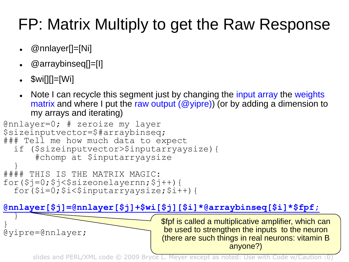#### FP: Matrix Multiply to get the Raw Response

- @nnlayer[]=[Ni]
- @arraybinseq[]=[I]
- \$wi[][]=[Wi]
- Note I can recycle this segment just by changing the input array the weights matrix and where I put the raw output  $(\omega$  yipre)) (or by adding a dimension to my arrays and iterating)

```
@nnlayer=0; # zeroize my layer
$sizeinputvector=$#arraybinseq;
### Tell me how much data to expect
  if ($sizeinputvector>$inputarryaysize){
      #chomp at $inputarryaysize
  }
#### THIS IS THE MATRIX MAGIC:
for($j=0;$j<$sizeonelayernn;$j++){
  for(si=0;$i<$inputarryaysize;$i++){
```
#### **@nnlayer[\$j]=@nnlayer[\$j]+\$wi[\$j][\$i]\*@arraybinseq[\$i]\*\$fpf;** }

} @yipre=@nnlayer; \$fpf is called a multiplicative amplifier, which can be used to strengthen the inputs to the neuron (there are such things in real neurons: vitamin B anyone?)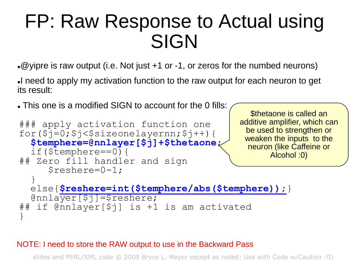#### FP: Raw Response to Actual using SIGN

 $\cdot$  @yipre is raw output (i.e. Not just  $+1$  or -1, or zeros for the numbed neurons)

I need to apply my activation function to the raw output for each neuron to get its result:

\$thetaone is called an

This one is a modified SIGN to account for the 0 fills:

```
### apply activation function one
for(\overline{s}]=0;\overline{s}j<\overline{s}sizeonelayernn;\overline{s}j++){
  $temphere=@nnlayer[$j]+$thetaone;
  if($temphere==0){
## Zero fill handler and sign
      $reshere=0-1;
  }
  else{$reshere=int($temphere/abs($temphere));}
  @nnlayer[$j]=$reshere;
## if @nnlayer[$j] is +1 is am activated 
}
                                                 additive amplifier, which can 
                                                   be used to strengthen or 
                                                   weaken the inputs to the 
                                                   neuron (like Caffeine or 
                                                        Alcohol :0)
```
#### NOTE: I need to store the RAW output to use in the Backward Pass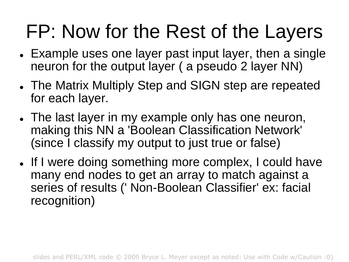## FP: Now for the Rest of the Layers

- Example uses one layer past input layer, then a single neuron for the output layer ( a pseudo 2 layer NN)
- The Matrix Multiply Step and SIGN step are repeated for each layer.
- The last layer in my example only has one neuron, making this NN a 'Boolean Classification Network' (since I classify my output to just true or false)
- If I were doing something more complex, I could have many end nodes to get an array to match against a series of results (' Non-Boolean Classifier' ex: facial recognition)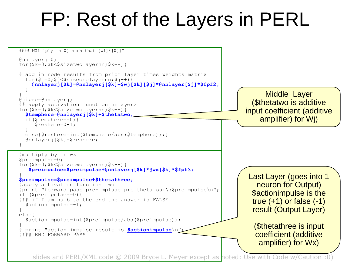#### FP: Rest of the Layers in PERL

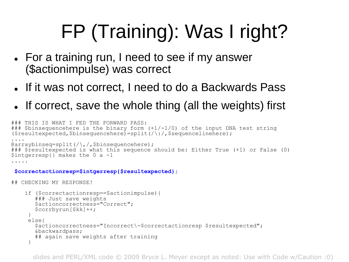# FP (Training): Was I right?

- For a training run, I need to see if my answer (\$actionimpulse) was correct
- If it was not correct, I need to do a Backwards Pass
- If correct, save the whole thing (all the weights) first

```
### THIS IS WHAT I FED THE FORWARD PASS:
### $binsequencehere is the binary form (+1/-1/0) of the input DNA test string
(sresultexpected, $binsequencehere)=split(/\:/,$sequencelinehere);
....
\ellarraybinseq=split(/\,/,$binsequencehere);
### $resultexpected is what this sequence should be: Either True (+1) or False (0)
$intqerresp{}' \makes the 0 a -1
.....
```

```
$correctactionresp=$intgerresp{$resultexpected};
```

```
## CHECKING MY RESPONSE!
```

```
if ($correctactionresp==$actionimpulse){ 
   ### Just save weights
   $actioncorrectness="Correct";
   $corrbyrun[$kk]++;
 }
 else{
   $actioncorrectness="Incorrect\-$correctactionresp $resultexpected";
   &backwardpass;
   ## again save weights after training
 }
```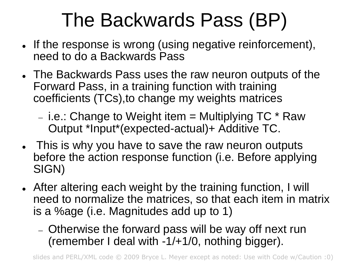## The Backwards Pass (BP)

- . If the response is wrong (using negative reinforcement), need to do a Backwards Pass
- The Backwards Pass uses the raw neuron outputs of the Forward Pass, in a training function with training coefficients (TCs),to change my weights matrices

- i.e.: Change to Weight item  $=$  Multiplying TC  $*$  Raw Output \*Input\*(expected-actual)+ Additive TC.

- This is why you have to save the raw neuron outputs before the action response function (i.e. Before applying SIGN)
- After altering each weight by the training function, I will need to normalize the matrices, so that each item in matrix is a %age (i.e. Magnitudes add up to 1)
	- Otherwise the forward pass will be way off next run (remember I deal with -1/+1/0, nothing bigger).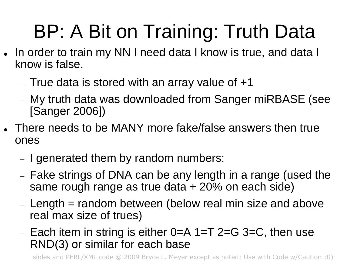# BP: A Bit on Training: Truth Data

- In order to train my NN I need data I know is true, and data I know is false.
	- $-$  True data is stored with an array value of  $+1$
	- My truth data was downloaded from Sanger miRBASE (see [Sanger 2006])
- There needs to be MANY more fake/false answers then true ones
	- I generated them by random numbers:
	- Fake strings of DNA can be any length in a range (used the same rough range as true data + 20% on each side)
	- $L$  Length = random between (below real min size and above real max size of trues)
	- Each item in string is either  $0=$  A 1=T 2=G 3=C, then use RND(3) or similar for each base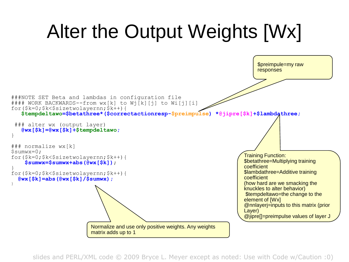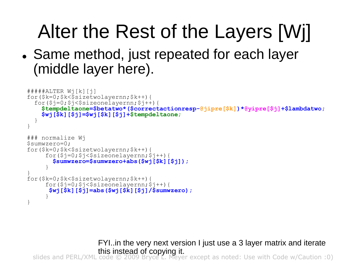# Alter the Rest of the Layers [Wj]

• Same method, just repeated for each layer (middle layer here).

```
#####ALTER Wj[k][j]
for($k=0;$k<$sizetwolayernn;$k++){
  for(Sj=0;5j<$sizeonelavernr;5j++){
    $tempdeltaone=$betatwo*($correctactionresp-@jipre[$k])*@yipre[$j]+$lambdatwo;
    $wj[$k][$j]=$wj[$k][$j]+$tempdeltaone;
  }
}
### normalize Wj
$sumwzero=0;
for($k=0;$k<$sizetwolayernn;$k++){
     for($j=0;$j<$sizeonelayernn;$j++){
       $sumwzero=$sumwzero+abs($wj[$k][$j]);
     }
}
for($k=0;$k<$sizetwolayernn;$k++){
     for($j=0;$j<$size\bar{o}nelayernn;$j++){
      $wj[$k][$j]=abs($wj[$k][$j]/$sumwzero);
     }
}
```
slides and PERL/XML code © 2009 Bryce L. Meyer except as noted: Use with Code w/Caution :0) FYI..in the very next version I just use a 3 layer matrix and iterate this instead of copying it.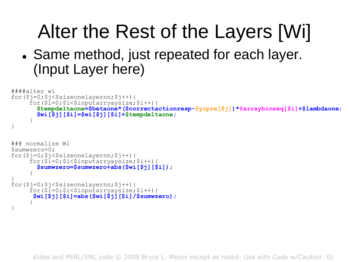# Alter the Rest of the Layers [Wi]

• Same method, just repeated for each layer. (Input Layer here)

```
####alter wi
for($j=0;$j<$sizeonelayernn;$j++){
     for(S_1=0;S_1<\$1nnutarrvavisize;S_1++){
       $tempdeltaone=$betaone*($correctactionresp-@yipre[$j])*@arraybinseq[$i]+$lambdaone;
       $wi[$j][$i]=$wi[$j][$i]+$tempdeltaone;
     }
}
### normalize Wi
$sumwzero=0;
for($j=0;$j<$sizeonelayernn;$j++){
     for(S_1=0; $i<\$) inputarryaysize; $i++){
       $sumwzero=$sumwzero+abs($wi[$j][$i]);
     }
}
for($j=0;$j<$sizeonelayernn;$j++){
     for($i=0;$i<$inputarryaysize;$i++){
      $wi[$j][$i]=abs($wi[$j][$i]/$sumwzero);
     }
}
```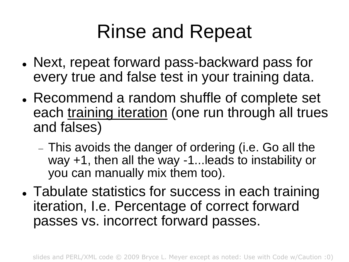### Rinse and Repeat

- Next, repeat forward pass-backward pass for every true and false test in your training data.
- Recommend a random shuffle of complete set each training iteration (one run through all trues and falses)
	- This avoids the danger of ordering (i.e. Go all the way +1, then all the way -1...leads to instability or you can manually mix them too).
- Tabulate statistics for success in each training iteration, I.e. Percentage of correct forward passes vs. incorrect forward passes.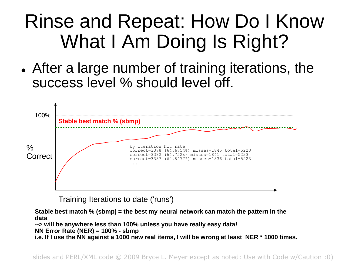### Rinse and Repeat: How Do I Know What I Am Doing Is Right?

 After a large number of training iterations, the success level % should level off.



Training Iterations to date ('runs')

**Stable best match % (sbmp) = the best my neural network can match the pattern in the data --> will be anywhere less than 100% unless you have really easy data! NN Error Rate (NER) = 100% - sbmp i.e. If I use the NN against a 1000 new real items, I will be wrong at least NER \* 1000 times.**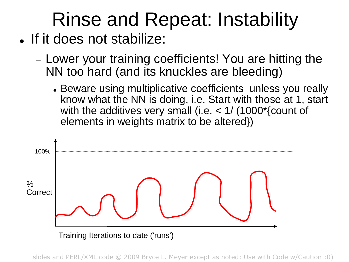# Rinse and Repeat: Instability

- . If it does not stabilize:
	- Lower your training coefficients! You are hitting the NN too hard (and its knuckles are bleeding)
		- Beware using multiplicative coefficients unless you really know what the NN is doing, i.e. Start with those at 1, start with the additives very small (i.e. < 1/ (1000\*{count of elements in weights matrix to be altered})

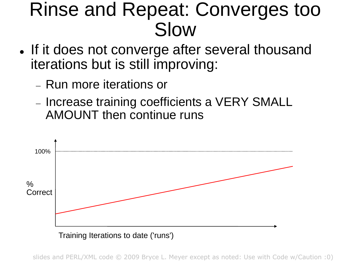#### Rinse and Repeat: Converges too Slow

- If it does not converge after several thousand iterations but is still improving:
	- Run more iterations or
	- Increase training coefficients a VERY SMALL AMOUNT then continue runs

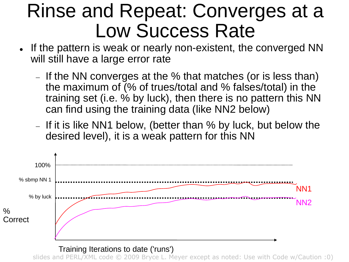#### Rinse and Repeat: Converges at a Low Success Rate

- . If the pattern is weak or nearly non-existent, the converged NN will still have a large error rate
	- $-$  If the NN converges at the % that matches (or is less than) the maximum of (% of trues/total and % falses/total) in the training set (i.e. % by luck), then there is no pattern this NN can find using the training data (like NN2 below)
	- If it is like NN1 below, (better than  $%$  by luck, but below the desired level), it is a weak pattern for this NN



Training Iterations to date ('runs')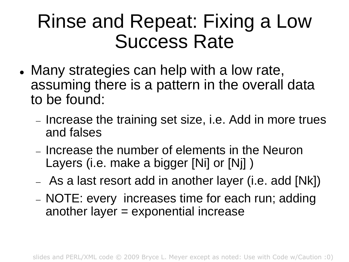#### Rinse and Repeat: Fixing a Low Success Rate

- Many strategies can help with a low rate, assuming there is a pattern in the overall data to be found:
	- Increase the training set size, i.e. Add in more trues and falses
	- Increase the number of elements in the Neuron Layers (i.e. make a bigger [Ni] or [Ni] )
	- As a last resort add in another layer (i.e. add [Nk])
	- NOTE: every increases time for each run; adding another layer = exponential increase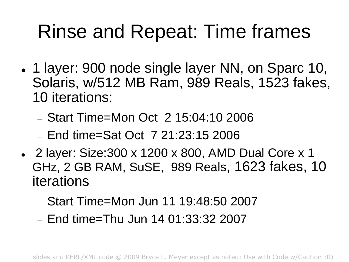### Rinse and Repeat: Time frames

- 1 layer: 900 node single layer NN, on Sparc 10, Solaris, w/512 MB Ram, 989 Reals, 1523 fakes, 10 iterations:
	- Start Time=Mon Oct 2 15:04:10 2006
	- $-$  End time=Sat Oct  $-$  7 21:23:15 2006
- 2 layer: Size:300 x 1200 x 800, AMD Dual Core x 1 GHz, 2 GB RAM, SuSE, 989 Reals, 1623 fakes, 10 iterations
	- Start Time=Mon Jun 11 19:48:50 2007
	- $-$  End time=Thu Jun 14 01:33:32 2007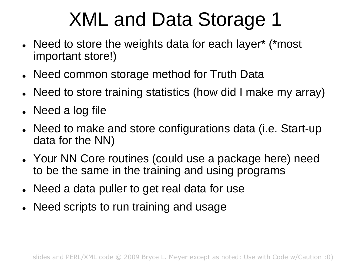## XML and Data Storage 1

- Need to store the weights data for each layer\* (\*most important store!)
- Need common storage method for Truth Data
- Need to store training statistics (how did I make my array)
- Need a log file
- Need to make and store configurations data (i.e. Start-up data for the NN)
- Your NN Core routines (could use a package here) need to be the same in the training and using programs
- Need a data puller to get real data for use
- Need scripts to run training and usage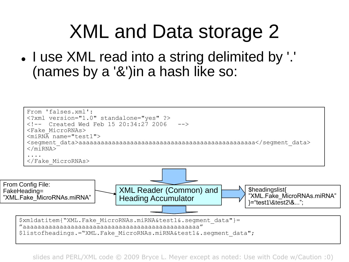#### XML and Data storage 2

. I use XML read into a string delimited by '.' (names by a '&')in a hash like so:

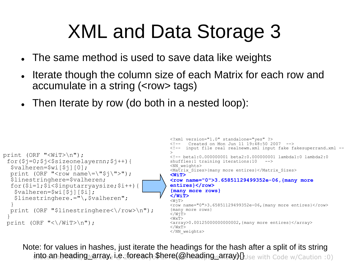### XML and Data Storage 3

- The same method is used to save data like weights
- Iterate though the column size of each Matrix for each row and accumulate in a string (<row> tags)
- Then Iterate by row (do both in a nested loop):

```
<?xml version="1.0" standalone="yes" ?>
                                                           \langle -- Created on Mon Jun 11 19:48:50 2007 -->
                                                           <!-- input file real realnewm.xml input fake fakesuperrand.xml --
                                                           >
                                                           <!-- beta1:0.000000001 beta2:0.000000001 lambda1:0 lambda2:0 
                                                           shuffles:1 training iterations:10 -->
                                                           <NN_weights>
                                                           <Matrix_Sizes>{many more entires}</Matrix_Sizes>
                                                           <WiT>
                                                           <row name="0">3.65851129499352e-06,{many more 
                                                           entires}</row>
                                                           {many more rows}
                                                           </WiT>
                                                           <W\dot{q}T>\langlerow name="0">3.65851129499352e-06, {many more entires}\langle/row>
                                                            {many more rows}
                                                           </WiT>
                                                           <\!\!\mathrm{WxT}\!\!><array>0.00125000000000002,{many more entires}</array>
                                                           \langle/WxT\rangle</NN_weights>
print (ORF "<WiT>\n");
 for($j=0;$j<$sizeonelayernn;$j++){
  $valheren=$wi[$j][0];
  print (ORF "<row name\=\"$j\">");
  $linestringhere=$valheren;
  for($i=1;$i<$inputarryaysize;$i++){
   $valheren=$wi[$j][$i];
   $linestringhere.="\,$valheren";
   }
  print (ORF "$linestringhere<\/row>\n");
 }
 print (ORF "<\/WiT>\n");
```
into an heading array, i.e. foreach \$here(@heading\_array){}Use with Code w/Caution :0) Note: for values in hashes, just iterate the headings for the hash after a split of its string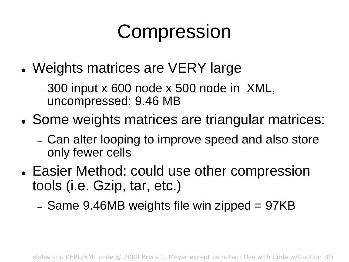### Compression

- Weights matrices are VERY large
	- 300 input x 600 node x 500 node in XML, uncompressed: 9.46 MB
- Some weights matrices are triangular matrices:
	- Can alter looping to improve speed and also store only fewer cells
- Easier Method: could use other compression tools (i.e. Gzip, tar, etc.)

 $-$  Same 9.46MB weights file win zipped = 97KB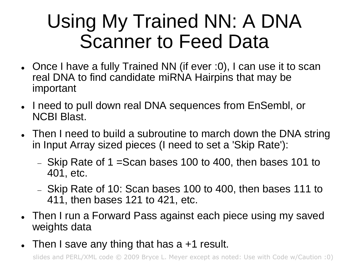### Using My Trained NN: A DNA Scanner to Feed Data

- Once I have a fully Trained NN (if ever :0), I can use it to scan real DNA to find candidate miRNA Hairpins that may be important
- . I need to pull down real DNA sequences from EnSembl, or NCBI Blast.
- Then I need to build a subroutine to march down the DNA string in Input Array sized pieces (I need to set a 'Skip Rate'):
	- $-$  Skip Rate of 1 = Scan bases 100 to 400, then bases 101 to 401, etc.
	- $-$  Skip Rate of 10: Scan bases 100 to 400, then bases 111 to 411, then bases 121 to 421, etc.
- Then I run a Forward Pass against each piece using my saved weights data
- Then I save any thing that has a +1 result.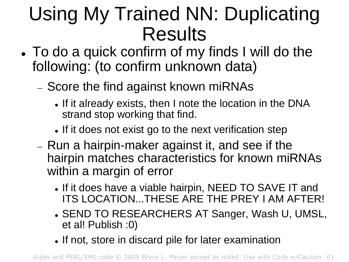### Using My Trained NN: Duplicating Results

- To do a quick confirm of my finds I will do the following: (to confirm unknown data)
	- Score the find against known miRNAs
		- If it already exists, then I note the location in the DNA strand stop working that find.
		- If it does not exist go to the next verification step
	- Run a hairpin-maker against it, and see if the hairpin matches characteristics for known miRNAs within a margin of error
		- . If it does have a viable hairpin, NEED TO SAVE IT and ITS LOCATION...THESE ARE THE PREY I AM AFTER!
		- SEND TO RESEARCHERS AT Sanger, Wash U, UMSL, et al! Publish :0)
		- If not, store in discard pile for later examination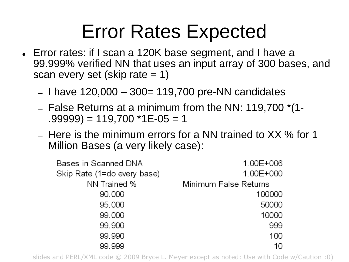### Error Rates Expected

- Error rates: if I scan a 120K base segment, and I have a 99.999% verified NN that uses an input array of 300 bases, and scan every set (skip rate  $= 1$ )
	- $-$  I have 120,000  $-$  300= 119,700 pre-NN candidates
	- $-$  False Returns at a minimum from the NN: 119,700  $*(1-)$  $.99999) = 119,700$  \*1E-05 = 1
	- Here is the minimum errors for a NN trained to XX % for 1 Million Bases (a very likely case):

| Bases in Scanned DNA        | 1.00E+006             |
|-----------------------------|-----------------------|
| Skip Rate (1=do every base) | 1.00E+000             |
| NN Trained %                | Minimum False Returns |
| 90,000                      | 100000                |
| 95,000                      | 50000                 |
| 99.000                      | 10000                 |
| 99.900                      | 999                   |
| 99.990                      | 100                   |
| 99.999                      | 10                    |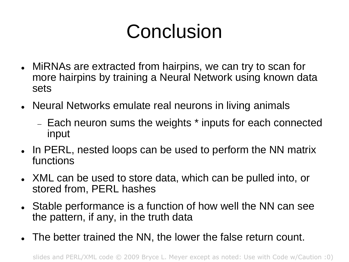## **Conclusion**

- MiRNAs are extracted from hairpins, we can try to scan for more hairpins by training a Neural Network using known data sets
- Neural Networks emulate real neurons in living animals
	- Each neuron sums the weights \* inputs for each connected input
- In PERL, nested loops can be used to perform the NN matrix functions
- XML can be used to store data, which can be pulled into, or stored from, PERL hashes
- Stable performance is a function of how well the NN can see the pattern, if any, in the truth data
- The better trained the NN, the lower the false return count.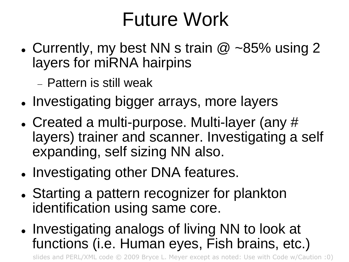### Future Work

• Currently, my best NN s train  $@$  ~85% using 2 layers for miRNA hairpins

Pattern is still weak

- Investigating bigger arrays, more layers
- Created a multi-purpose. Multi-layer (any # layers) trainer and scanner. Investigating a self expanding, self sizing NN also.
- Investigating other DNA features.
- Starting a pattern recognizer for plankton identification using same core.
- Investigating analogs of living NN to look at functions (i.e. Human eyes, Fish brains, etc.)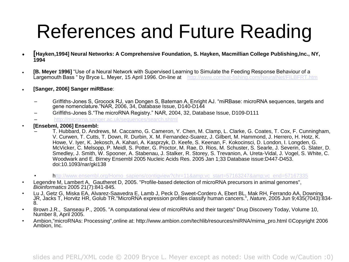### References and Future Reading

- **[Hayken,1994] Neural Networks: A Comprehensive Foundation, S. Hayken, Macmillian College Publishing,Inc., NY, 1994**
- **[B. Meyer 1996]** "Use of a Neural Network with Supervised Learning to Simulate the Feeding Response Behaviour of a Largemouth Bass " by Bryce L. Meyer, 15 April 1996. On-line at <http://www.combat-fishing.com/NeuralNet/FILBFRT.htm>
- **[Sanger, 2006] Sanger miRBase**:
	- Griffiths-Jones S, Grocock RJ, van Dongen S, Bateman A, Enright AJ. "miRBase: microRNA sequences, targets and gene nomenclature."NAR, 2006, 34, Database Issue, D140-D144
	- Griffiths-Jones S."The microRNA Registry." NAR, 2004, 32, Database Issue, D109-D111
	- <http://microrna.sanger.ac.uk/sequences/search.shtml>
- **[Ensebml, 2006] Ensembl:**
	- T. Hubbard, D. Andrews, M. Caccamo, G. Cameron, Y. Chen, M. Clamp, L. Clarke, G. Coates, T. Cox, F. Cunningham, V. Curwen, T. Cutts, T. Down, R. Durbin, X. M. Fernandez-Suarez, J. Gilbert, M. Hammond, J. Herrero, H. Hotz, K. Howe, V. Iyer, K. Jekosch, A. Kahari, A. Kasprzyk, D. Keefe, S. Keenan, F. Kokocinsci, D. London, I. Longden, G. McVicker, C. Melsopp, P. Meidl, S. Potter, G. Proctor, M. Rae, D. Rios, M. Schuster, S. Searle, J. Severin, G. Slater, D. Smedley, J. Smith, W. Spooner, A. Stabenau, J. Stalker, R. Storey, S. Trevanion, A. Ureta-Vidal, J. Vogel, S. White, C. Woodwark and E. Birney Ensembl 2005 Nucleic Acids Res. 2005 Jan 1;33 Database issue:D447-D453. doi:10.1093/nar/gki138
	- [http://www.ensembl.org/Homo\\_sapiens/contigview?chr=11&vc\\_start=57163247&vc\\_end=57167335](http://www.ensembl.org/Homo_sapiens/contigview?chr=11&vc_start=57163247&vc_end=57167335)
- Legendre M, Lambert A, Gautheret D, 2005. "Profile-based detection of microRNA precursors in animal genomes", *Bioinformatics* 2005 21(7):841-845.
- Lu J, Getz G, Miska EA, Alvarez-Saavedra E, Lamb J, Peck D, Sweet-Cordero A, Ebert BL, Mak RH, Ferrando AA, Downing JR, Jacks T, Horvitz HR, Golub TR."MicroRNA expression profiles classify human cancers.", *Nature*, 2005 Jun 9;435(7043):834- 8.
- Brown J.R., Sanseau P., 2005. "A computational view of microRNAs and their targets" Drug Discovery Today, Volume 10, Number 8, April 2005.
- Ambion,"microRNAs: Processing",online at: http://www.ambion.com/techlib/resources/miRNA/mirna\_pro.html ©Copyright 2006 Ambion, Inc.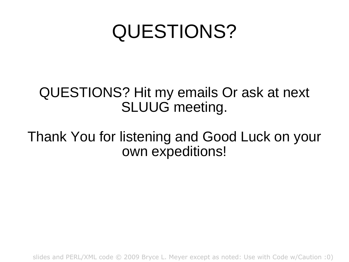### QUESTIONS?

#### QUESTIONS? Hit my emails Or ask at next SLUUG meeting.

#### Thank You for listening and Good Luck on your own expeditions!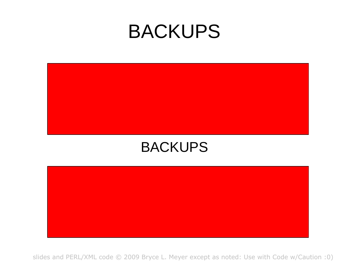#### BACKUPS



#### BACKUPS

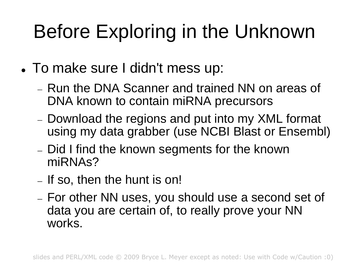# Before Exploring in the Unknown

- To make sure I didn't mess up:
	- Run the DNA Scanner and trained NN on areas of DNA known to contain miRNA precursors
	- Download the regions and put into my XML format using my data grabber (use NCBI Blast or Ensembl)
	- Did I find the known segments for the known miRNAs?
	- If so, then the hunt is on!
	- For other NN uses, you should use a second set of data you are certain of, to really prove your NN works.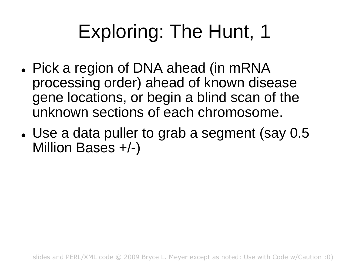## Exploring: The Hunt, 1

- Pick a region of DNA ahead (in mRNA processing order) ahead of known disease gene locations, or begin a blind scan of the unknown sections of each chromosome.
- Use a data puller to grab a segment (say 0.5 Million Bases +/-)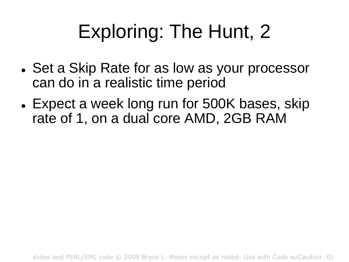## Exploring: The Hunt, 2

- Set a Skip Rate for as low as your processor can do in a realistic time period
- Expect a week long run for 500K bases, skip rate of 1, on a dual core AMD, 2GB RAM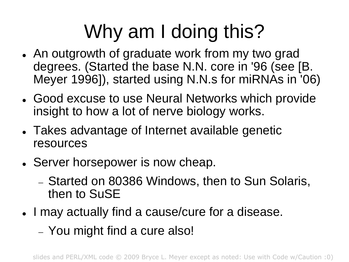# Why am I doing this?

- An outgrowth of graduate work from my two grad degrees. (Started the base N.N. core in '96 (see [B. Meyer 1996]), started using N.N.s for miRNAs in '06)
- Good excuse to use Neural Networks which provide insight to how a lot of nerve biology works.
- Takes advantage of Internet available genetic resources
- Server horsepower is now cheap.
	- Started on 80386 Windows, then to Sun Solaris, then to SuSE
- I may actually find a cause/cure for a disease.
	- You might find a cure also!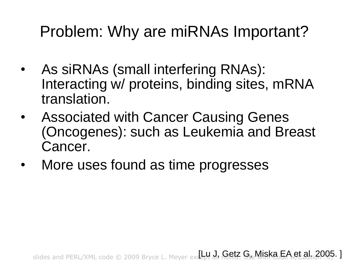#### Problem: Why are miRNAs Important?

- As siRNAs (small interfering RNAs): Interacting w/ proteins, binding sites, mRNA translation.
- Associated with Cancer Causing Genes (Oncogenes): such as Leukemia and Breast Cancer.
- More uses found as time progresses

slides and PERL/XML code © 2009 Bryce L. Meyer exdept as **Getz G, Miska EA et al. 2005. ]**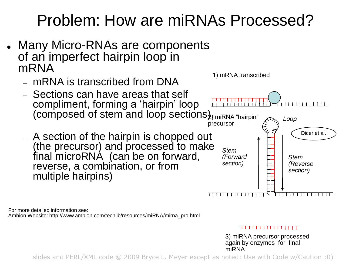#### Problem: How are miRNAs Processed?

- Many Micro-RNAs are components of an imperfect hairpin loop in mRNA
	- mRNA is transcribed from DNA
	- Sections can have areas that self compliment, forming a "hairpin" loop (composed of stem and loop sections $\lambda$ <sub>)</sub> miRNA "hairpin"
	- A section of the hairpin is chopped out (the precursor) and processed to make final microRNA (can be on forward, reverse, a combination, or from multiple hairpins)



For more detailed information see: Ambion Website: http://www.ambion.com/techlib/resources/miRNA/mirna\_pro.html

#### <del>T 1 1 1 1 1 1 1 1 1 1 1 1 1 1 1 1 1 1</del>

3) miRNA precursor processed again by enzymes for final miRNA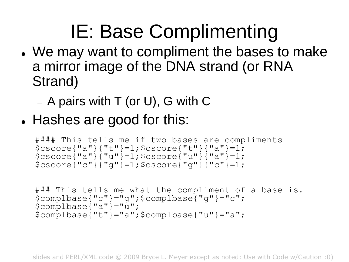# IE: Base Complimenting

- We may want to compliment the bases to make a mirror image of the DNA strand (or RNA Strand)
	- $-$  A pairs with T (or U), G with C
- Hashes are good for this:

```
#### This tells me if two bases are compliments
$cscore{"a"}{"t"}=1;$cscore{"t"}{"a"}=1;
$cscore{''a''}\ {"u"}=1; $cscore{''u''}\ {"a"}=1;
$cscore{''c"}{''q"} = 1;$cscore{"q"}{"c"}=1;
```

```
### This tells me what the compliment of a base is.
$complbase{"c"}="g";$complbase{"g"}="c";
$complbase{"a"}="u";
$complbase{"t"}="a";$complbase{"u"}="a";
```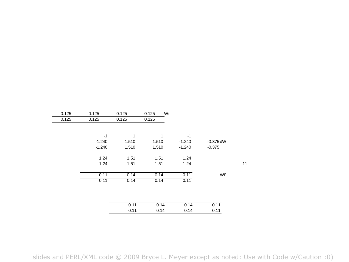|    |              |          | Wi.<br>0.125 | 0.125        | 0.125    | 0.125 |
|----|--------------|----------|--------------|--------------|----------|-------|
|    |              |          | 0.125        | 0.125        | 0.125    | 0.125 |
|    |              |          |              |              |          |       |
|    |              | $-1$     | 1            | $\mathbf{1}$ | $-1$     |       |
|    | $-0.375$ dWi | $-1.240$ | 1.510        | 1.510        | $-1.240$ |       |
|    | $-0.375$     | $-1.240$ | 1.510        | 1.510        | $-1.240$ |       |
|    |              | 1.24     | 1.51         | 1.51         | 1.24     |       |
| 11 |              | 1.24     | 1.51         | 1.51         | 1.24     |       |
|    | Wi'          | 0.11     | 0.14         | 0.14         | 0.11     |       |
|    |              | 0.11     | 0.14         | 0.14         | 0.11     |       |
|    |              |          |              |              |          |       |
|    |              |          |              |              |          |       |
|    | 0.11         | 0.14     | 0.14         | 0.11         |          |       |
|    | 0.11         | 0.14     | 0.14         | 0.11         |          |       |